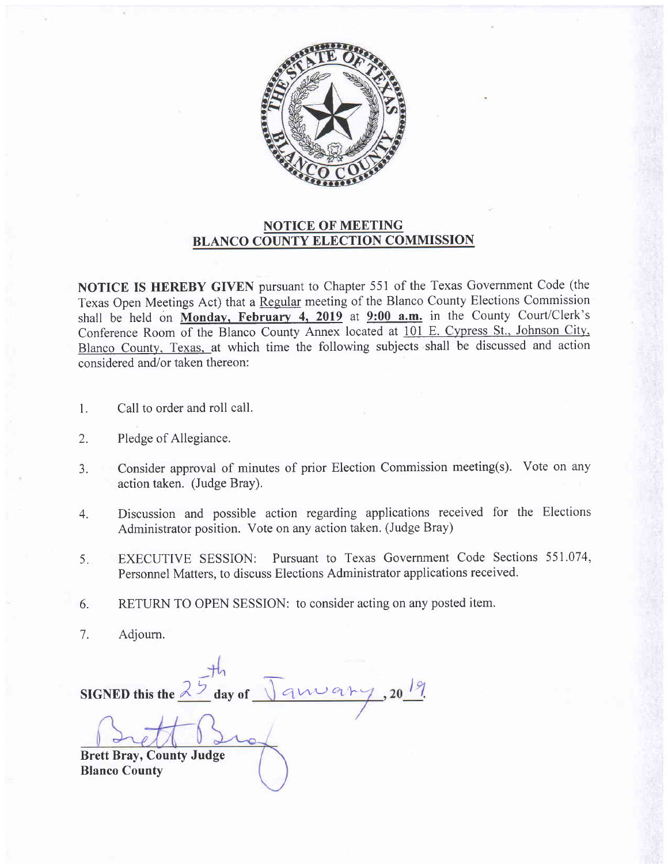

## NOTICE OF MEETING BLANCO COUNTY ELECTION COMMISSION

NOTICE IS HEREBY GIVEN pursuant to Chapter 551 of the Texas Government Code (the Texas Open Meetings Act) that a Regular meeting of the Blanco County Elections Commission shall be held on Monday, February 4, 2019 at  $9:00$  a.m. in the County Court/Clerk's Conference Room of the Blanco County Annex located at 101 E. Cypress St.. Johnson City. Blanco County. Texas. at which time the following subjects shall be discussed and action considered and/or taken thereon:

- Call to order and roll call. L
- Pledge of Allegiance. 2.
- Consider approval of minutes of prior Election Commission meeting(s). Vote on any action taken. (Judge Bray). 3.
- Discussion and possible action regarding applications received for the Elections Administrator position. Vote on any action taken. (Judge Bray) 4.
- EXECUTIVE SESSION: Pursuant to Texas Govemment Code Sections 551.074, Personnel Matters, to discuss Elections Administrator applications received. 5.
- RETURN TO OPEN SESSION: to consider acting on any posted item. 6.
- Adioum. 7.

SIGNED this the  $2\frac{6}{3}$  day of anvar Brett Bray, County Judge Blanco County